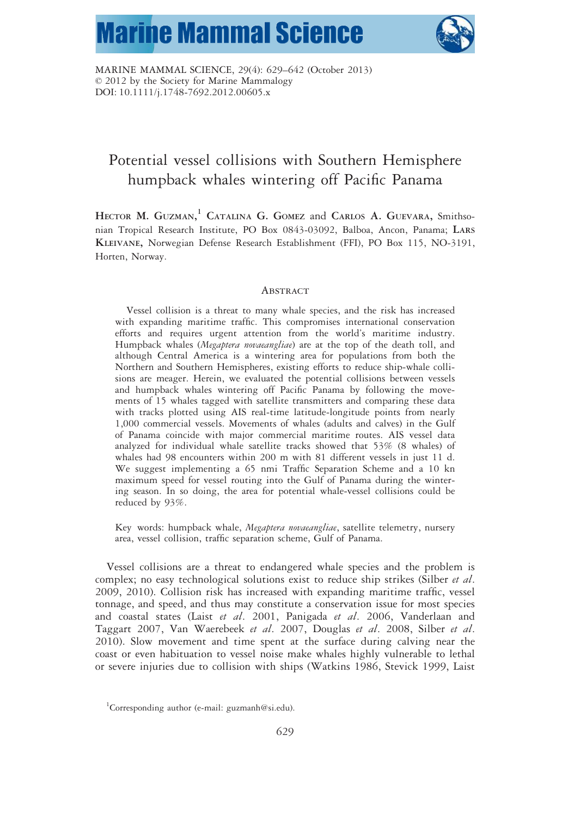# **Marine Mammal Science**



MARINE MAMMAL SCIENCE, 29(4): 629–642 (October 2013) © 2012 by the Society for Marine Mammalogy DOI: 10.1111/j.1748-7692.2012.00605.x

# Potential vessel collisions with Southern Hemisphere humpback whales wintering off Pacific Panama

HECTOR M. GUZMAN,<sup>1</sup> CATALINA G. GOMEZ and CARLOS A. GUEVARA, Smithsonian Tropical Research Institute, PO Box 0843-03092, Balboa, Ancon, Panama; LARS KLEIVANE, Norwegian Defense Research Establishment (FFI), PO Box 115, NO-3191, Horten, Norway.

#### **ABSTRACT**

Vessel collision is a threat to many whale species, and the risk has increased with expanding maritime traffic. This compromises international conservation efforts and requires urgent attention from the world's maritime industry. Humpback whales (Megaptera novaeangliae) are at the top of the death toll, and although Central America is a wintering area for populations from both the Northern and Southern Hemispheres, existing efforts to reduce ship-whale collisions are meager. Herein, we evaluated the potential collisions between vessels and humpback whales wintering off Pacific Panama by following the movements of 15 whales tagged with satellite transmitters and comparing these data with tracks plotted using AIS real-time latitude-longitude points from nearly 1,000 commercial vessels. Movements of whales (adults and calves) in the Gulf of Panama coincide with major commercial maritime routes. AIS vessel data analyzed for individual whale satellite tracks showed that 53% (8 whales) of whales had 98 encounters within 200 m with 81 different vessels in just 11 d. We suggest implementing a 65 nmi Traffic Separation Scheme and a 10 kn maximum speed for vessel routing into the Gulf of Panama during the wintering season. In so doing, the area for potential whale-vessel collisions could be reduced by 93%.

Key words: humpback whale, Megaptera novaeangliae, satellite telemetry, nursery area, vessel collision, traffic separation scheme, Gulf of Panama.

Vessel collisions are a threat to endangered whale species and the problem is complex; no easy technological solutions exist to reduce ship strikes (Silber et al. 2009, 2010). Collision risk has increased with expanding maritime traffic, vessel tonnage, and speed, and thus may constitute a conservation issue for most species and coastal states (Laist et al. 2001, Panigada et al. 2006, Vanderlaan and Taggart 2007, Van Waerebeek et al. 2007, Douglas et al. 2008, Silber et al. 2010). Slow movement and time spent at the surface during calving near the coast or even habituation to vessel noise make whales highly vulnerable to lethal or severe injuries due to collision with ships (Watkins 1986, Stevick 1999, Laist

<sup>&</sup>lt;sup>1</sup>Corresponding author (e-mail: guzmanh@si.edu).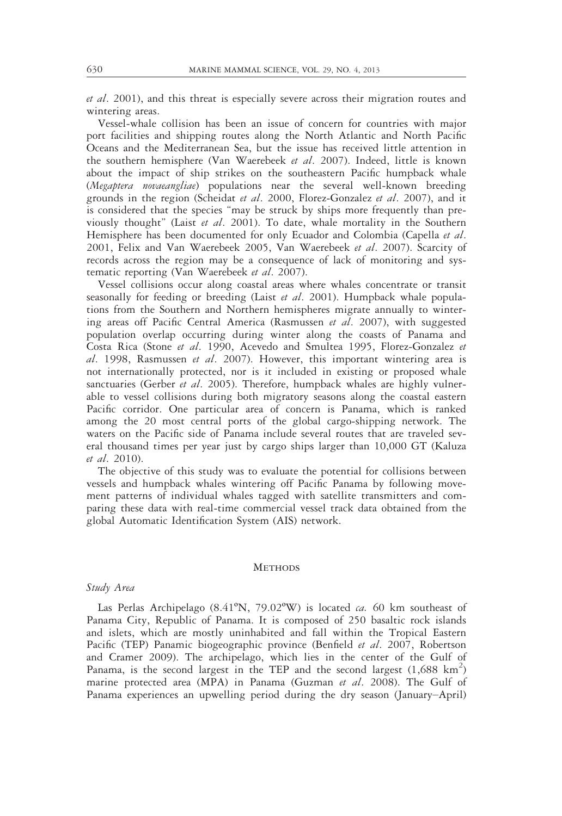et al. 2001), and this threat is especially severe across their migration routes and wintering areas.

Vessel-whale collision has been an issue of concern for countries with major port facilities and shipping routes along the North Atlantic and North Pacific Oceans and the Mediterranean Sea, but the issue has received little attention in the southern hemisphere (Van Waerebeek et al. 2007). Indeed, little is known about the impact of ship strikes on the southeastern Pacific humpback whale (Megaptera novaeangliae) populations near the several well-known breeding grounds in the region (Scheidat et al. 2000, Florez-Gonzalez et al. 2007), and it is considered that the species "may be struck by ships more frequently than previously thought" (Laist et al. 2001). To date, whale mortality in the Southern Hemisphere has been documented for only Ecuador and Colombia (Capella et al. 2001, Felix and Van Waerebeek 2005, Van Waerebeek et al. 2007). Scarcity of records across the region may be a consequence of lack of monitoring and systematic reporting (Van Waerebeek et al. 2007).

Vessel collisions occur along coastal areas where whales concentrate or transit seasonally for feeding or breeding (Laist et al. 2001). Humpback whale populations from the Southern and Northern hemispheres migrate annually to wintering areas off Pacific Central America (Rasmussen et al. 2007), with suggested population overlap occurring during winter along the coasts of Panama and Costa Rica (Stone et al. 1990, Acevedo and Smultea 1995, Florez-Gonzalez et al. 1998, Rasmussen et al. 2007). However, this important wintering area is not internationally protected, nor is it included in existing or proposed whale sanctuaries (Gerber *et al.* 2005). Therefore, humpback whales are highly vulnerable to vessel collisions during both migratory seasons along the coastal eastern Pacific corridor. One particular area of concern is Panama, which is ranked among the 20 most central ports of the global cargo-shipping network. The waters on the Pacific side of Panama include several routes that are traveled several thousand times per year just by cargo ships larger than 10,000 GT (Kaluza et al. 2010).

The objective of this study was to evaluate the potential for collisions between vessels and humpback whales wintering off Pacific Panama by following movement patterns of individual whales tagged with satellite transmitters and comparing these data with real-time commercial vessel track data obtained from the global Automatic Identification System (AIS) network.

#### **METHODS**

### Study Area

Las Perlas Archipelago ( $8.41^{\circ}$ N, 79.02°W) is located *ca.* 60 km southeast of Panama City, Republic of Panama. It is composed of 250 basaltic rock islands and islets, which are mostly uninhabited and fall within the Tropical Eastern Pacific (TEP) Panamic biogeographic province (Benfield et al. 2007, Robertson and Cramer 2009). The archipelago, which lies in the center of the Gulf of Panama, is the second largest in the TEP and the second largest  $(1,688 \text{ km}^2)$ marine protected area (MPA) in Panama (Guzman *et al.* 2008). The Gulf of Panama experiences an upwelling period during the dry season (January–April)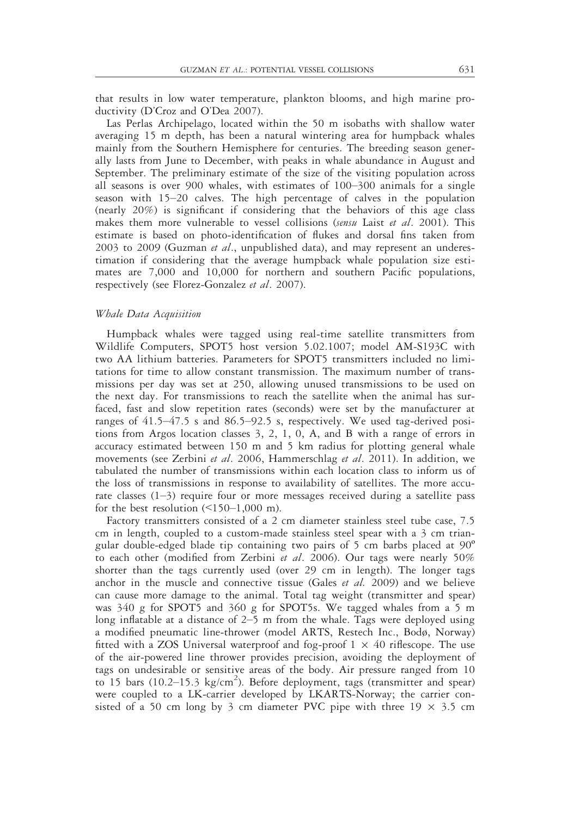that results in low water temperature, plankton blooms, and high marine productivity (D'Croz and O'Dea 2007).

Las Perlas Archipelago, located within the 50 m isobaths with shallow water averaging 15 m depth, has been a natural wintering area for humpback whales mainly from the Southern Hemisphere for centuries. The breeding season generally lasts from June to December, with peaks in whale abundance in August and September. The preliminary estimate of the size of the visiting population across all seasons is over 900 whales, with estimates of 100–300 animals for a single season with 15–20 calves. The high percentage of calves in the population (nearly 20%) is significant if considering that the behaviors of this age class makes them more vulnerable to vessel collisions (sensu Laist et al. 2001). This estimate is based on photo-identification of flukes and dorsal fins taken from 2003 to 2009 (Guzman et al., unpublished data), and may represent an underestimation if considering that the average humpback whale population size estimates are 7,000 and 10,000 for northern and southern Pacific populations, respectively (see Florez-Gonzalez et al. 2007).

#### Whale Data Acquisition

Humpback whales were tagged using real-time satellite transmitters from Wildlife Computers, SPOT5 host version 5.02.1007; model AM-S193C with two AA lithium batteries. Parameters for SPOT5 transmitters included no limitations for time to allow constant transmission. The maximum number of transmissions per day was set at 250, allowing unused transmissions to be used on the next day. For transmissions to reach the satellite when the animal has surfaced, fast and slow repetition rates (seconds) were set by the manufacturer at ranges of 41.5–47.5 s and 86.5–92.5 s, respectively. We used tag-derived positions from Argos location classes 3, 2, 1, 0, A, and B with a range of errors in accuracy estimated between 150 m and 5 km radius for plotting general whale movements (see Zerbini et al. 2006, Hammerschlag et al. 2011). In addition, we tabulated the number of transmissions within each location class to inform us of the loss of transmissions in response to availability of satellites. The more accurate classes  $(1-3)$  require four or more messages received during a satellite pass for the best resolution  $(\leq 150-1,000)$  m).

Factory transmitters consisted of a 2 cm diameter stainless steel tube case, 7.5 cm in length, coupled to a custom-made stainless steel spear with a 3 cm triangular double-edged blade tip containing two pairs of 5 cm barbs placed at 90º to each other (modified from Zerbini et al. 2006). Our tags were nearly 50% shorter than the tags currently used (over 29 cm in length). The longer tags anchor in the muscle and connective tissue (Gales et al. 2009) and we believe can cause more damage to the animal. Total tag weight (transmitter and spear) was 340 g for SPOT5 and 360 g for SPOT5s. We tagged whales from a 5 m long inflatable at a distance of 2–5 m from the whale. Tags were deployed using a modified pneumatic line-thrower (model ARTS, Restech Inc., Bodø, Norway) fitted with a ZOS Universal waterproof and fog-proof  $1 \times 40$  riflescope. The use of the air-powered line thrower provides precision, avoiding the deployment of tags on undesirable or sensitive areas of the body. Air pressure ranged from 10 to 15 bars (10.2–15.3 kg/cm<sup>2</sup>). Before deployment, tags (transmitter and spear) were coupled to a LK-carrier developed by LKARTS-Norway; the carrier consisted of a 50 cm long by 3 cm diameter PVC pipe with three  $19 \times 3.5$  cm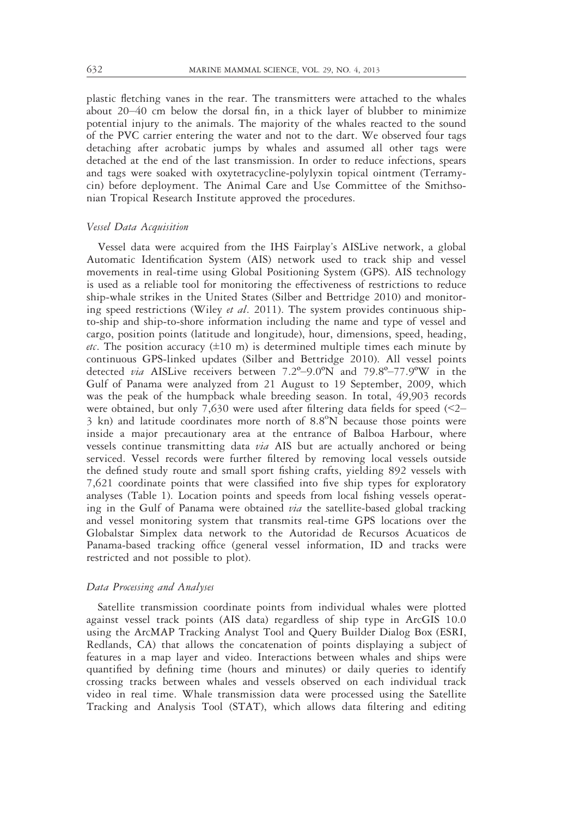plastic fletching vanes in the rear. The transmitters were attached to the whales about 20–40 cm below the dorsal fin, in a thick layer of blubber to minimize potential injury to the animals. The majority of the whales reacted to the sound of the PVC carrier entering the water and not to the dart. We observed four tags detaching after acrobatic jumps by whales and assumed all other tags were detached at the end of the last transmission. In order to reduce infections, spears and tags were soaked with oxytetracycline-polylyxin topical ointment (Terramycin) before deployment. The Animal Care and Use Committee of the Smithsonian Tropical Research Institute approved the procedures.

## Vessel Data Acquisition

Vessel data were acquired from the IHS Fairplay's AISLive network, a global Automatic Identification System (AIS) network used to track ship and vessel movements in real-time using Global Positioning System (GPS). AIS technology is used as a reliable tool for monitoring the effectiveness of restrictions to reduce ship-whale strikes in the United States (Silber and Bettridge 2010) and monitoring speed restrictions (Wiley *et al.* 2011). The system provides continuous shipto-ship and ship-to-shore information including the name and type of vessel and cargo, position points (latitude and longitude), hour, dimensions, speed, heading, *etc*. The position accuracy  $(\pm 10 \text{ m})$  is determined multiple times each minute by continuous GPS-linked updates (Silber and Bettridge 2010). All vessel points detected via AISLive receivers between 7.2º–9.0ºN and 79.8º–77.9ºW in the Gulf of Panama were analyzed from 21 August to 19 September, 2009, which was the peak of the humpback whale breeding season. In total, 49,903 records were obtained, but only 7,630 were used after filtering data fields for speed (<2–  $3$  kn) and latitude coordinates more north of  $8.8^{\circ}N$  because those points were inside a major precautionary area at the entrance of Balboa Harbour, where vessels continue transmitting data via AIS but are actually anchored or being serviced. Vessel records were further filtered by removing local vessels outside the defined study route and small sport fishing crafts, yielding 892 vessels with 7,621 coordinate points that were classified into five ship types for exploratory analyses (Table 1). Location points and speeds from local fishing vessels operating in the Gulf of Panama were obtained *via* the satellite-based global tracking and vessel monitoring system that transmits real-time GPS locations over the Globalstar Simplex data network to the Autoridad de Recursos Acuaticos de Panama-based tracking office (general vessel information, ID and tracks were restricted and not possible to plot).

#### Data Processing and Analyses

Satellite transmission coordinate points from individual whales were plotted against vessel track points (AIS data) regardless of ship type in ArcGIS 10.0 using the ArcMAP Tracking Analyst Tool and Query Builder Dialog Box (ESRI, Redlands, CA) that allows the concatenation of points displaying a subject of features in a map layer and video. Interactions between whales and ships were quantified by defining time (hours and minutes) or daily queries to identify crossing tracks between whales and vessels observed on each individual track video in real time. Whale transmission data were processed using the Satellite Tracking and Analysis Tool (STAT), which allows data filtering and editing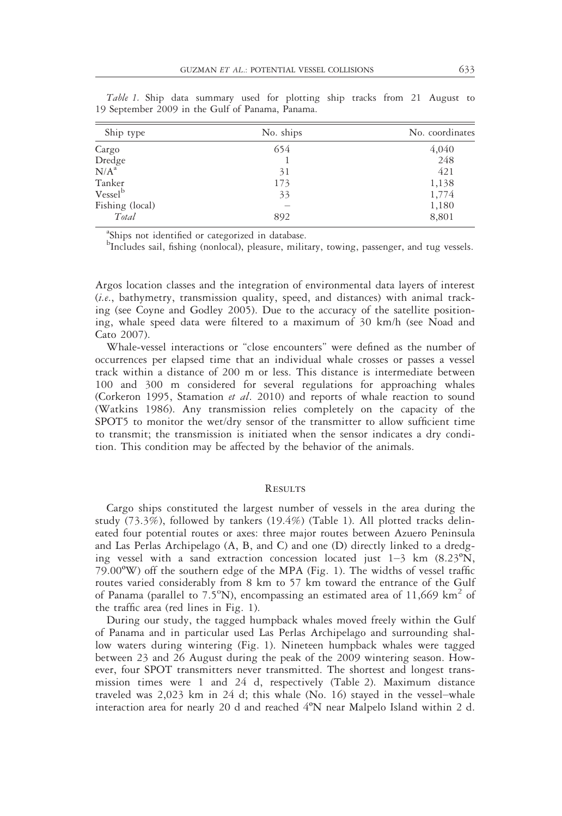| Ship type           | No. ships | No. coordinates |  |  |  |
|---------------------|-----------|-----------------|--|--|--|
| Cargo               | 654       | 4,040           |  |  |  |
| Dredge              |           | 248             |  |  |  |
| N/A <sup>a</sup>    | 31        | 421             |  |  |  |
| Tanker              | 173       | 1,138           |  |  |  |
| Vessel <sup>b</sup> | 33        | 1,774           |  |  |  |
| Fishing (local)     |           | 1,180           |  |  |  |
| Total               | 892       | 8,801           |  |  |  |

Table 1. Ship data summary used for plotting ship tracks from 21 August to 19 September 2009 in the Gulf of Panama, Panama.

<sup>a</sup>Ships not identified or categorized in database.

b Includes sail, fishing (nonlocal), pleasure, military, towing, passenger, and tug vessels.

Argos location classes and the integration of environmental data layers of interest (i.e., bathymetry, transmission quality, speed, and distances) with animal tracking (see Coyne and Godley 2005). Due to the accuracy of the satellite positioning, whale speed data were filtered to a maximum of 30 km/h (see Noad and Cato 2007).

Whale-vessel interactions or "close encounters" were defined as the number of occurrences per elapsed time that an individual whale crosses or passes a vessel track within a distance of 200 m or less. This distance is intermediate between 100 and 300 m considered for several regulations for approaching whales (Corkeron 1995, Stamation et al. 2010) and reports of whale reaction to sound (Watkins 1986). Any transmission relies completely on the capacity of the SPOT5 to monitor the wet/dry sensor of the transmitter to allow sufficient time to transmit; the transmission is initiated when the sensor indicates a dry condition. This condition may be affected by the behavior of the animals.

#### **RESULTS**

Cargo ships constituted the largest number of vessels in the area during the study (73.3%), followed by tankers (19.4%) (Table 1). All plotted tracks delineated four potential routes or axes: three major routes between Azuero Peninsula and Las Perlas Archipelago (A, B, and C) and one (D) directly linked to a dredging vessel with a sand extraction concession located just  $1-3$  km  $(8.23^{\circ}N,$ 79.00ºW) off the southern edge of the MPA (Fig. 1). The widths of vessel traffic routes varied considerably from 8 km to 57 km toward the entrance of the Gulf of Panama (parallel to  $7.5^{\circ}$ N), encompassing an estimated area of 11,669 km<sup>2</sup> of the traffic area (red lines in Fig. 1).

During our study, the tagged humpback whales moved freely within the Gulf of Panama and in particular used Las Perlas Archipelago and surrounding shallow waters during wintering (Fig. 1). Nineteen humpback whales were tagged between 23 and 26 August during the peak of the 2009 wintering season. However, four SPOT transmitters never transmitted. The shortest and longest transmission times were 1 and 24 d, respectively (Table 2). Maximum distance traveled was 2,023 km in 24 d; this whale (No. 16) stayed in the vessel–whale interaction area for nearly 20 d and reached  $4^{\circ}$ N near Malpelo Island within 2 d.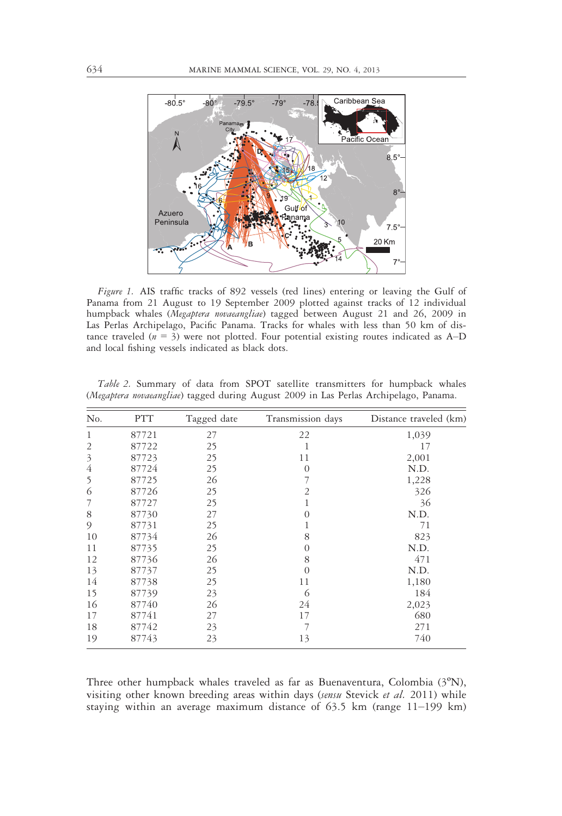

Figure 1. AIS traffic tracks of 892 vessels (red lines) entering or leaving the Gulf of Panama from 21 August to 19 September 2009 plotted against tracks of 12 individual humpback whales (Megaptera novaeangliae) tagged between August 21 and 26, 2009 in Las Perlas Archipelago, Pacific Panama. Tracks for whales with less than 50 km of distance traveled ( $n = 3$ ) were not plotted. Four potential existing routes indicated as  $A-D$ and local fishing vessels indicated as black dots.

| No.            | <b>PTT</b> | Tagged date | Transmission days | Distance traveled (km) |
|----------------|------------|-------------|-------------------|------------------------|
| $\mathbf{1}$   | 87721      | 27          | 22                | 1,039                  |
| $\overline{2}$ | 87722      | 25          | 1                 | 17                     |
| $\mathfrak{Z}$ | 87723      | 25          | 11                | 2,001                  |
| 4              | 87724      | 25          | $\Omega$          | N.D.                   |
| 5              | 87725      | 26          | 7                 | 1,228                  |
| 6              | 87726      | 25          | 2                 | 326                    |
| 7              | 87727      | 25          | 1                 | 36                     |
| 8              | 87730      | 27          | $\Omega$          | N.D.                   |
| 9              | 87731      | 25          | 1                 | 71                     |
| 10             | 87734      | 26          | 8                 | 823                    |
| 11             | 87735      | 25          | $\Omega$          | N.D.                   |
| 12             | 87736      | 26          | 8                 | 471                    |
| 13             | 87737      | 25          | $\Omega$          | N.D.                   |
| 14             | 87738      | 25          | 11                | 1,180                  |
| 15             | 87739      | 23          | 6                 | 184                    |
| 16             | 87740      | 26          | 24                | 2,023                  |
| 17             | 87741      | 27          | 17                | 680                    |
| 18             | 87742      | 23          | 7                 | 271                    |
| 19             | 87743      | 23          | 13                | 740                    |

Table 2. Summary of data from SPOT satellite transmitters for humpback whales (Megaptera novaeangliae) tagged during August 2009 in Las Perlas Archipelago, Panama.

Three other humpback whales traveled as far as Buenaventura, Colombia (3ºN), visiting other known breeding areas within days (sensu Stevick et al. 2011) while staying within an average maximum distance of 63.5 km (range 11–199 km)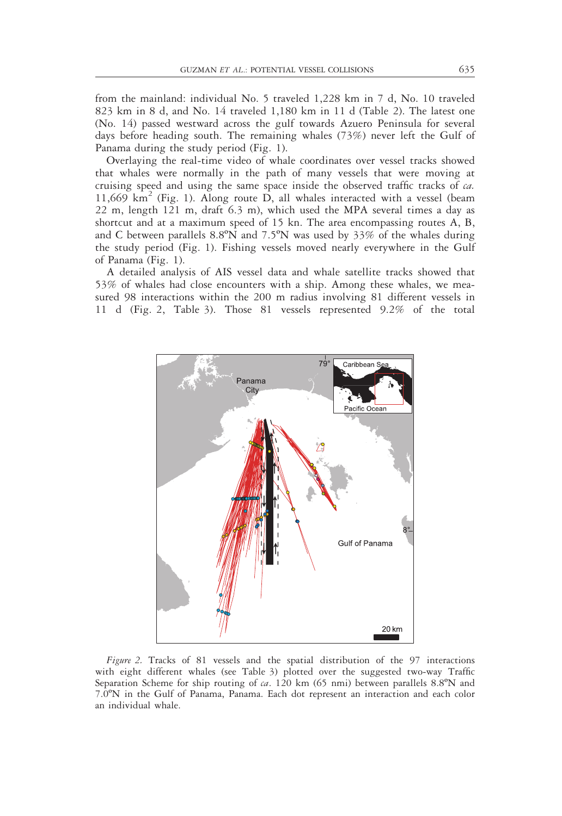from the mainland: individual No. 5 traveled 1,228 km in 7 d, No. 10 traveled 823 km in 8 d, and No. 14 traveled 1,180 km in 11 d (Table 2). The latest one (No. 14) passed westward across the gulf towards Azuero Peninsula for several days before heading south. The remaining whales (73%) never left the Gulf of Panama during the study period (Fig. 1).

Overlaying the real-time video of whale coordinates over vessel tracks showed that whales were normally in the path of many vessels that were moving at cruising speed and using the same space inside the observed traffic tracks of ca.  $11,669$  km<sup>2</sup> (Fig. 1). Along route D, all whales interacted with a vessel (beam 22 m, length 121 m, draft 6.3 m), which used the MPA several times a day as shortcut and at a maximum speed of 15 kn. The area encompassing routes A, B, and C between parallels 8.8ºN and 7.5ºN was used by 33% of the whales during the study period (Fig. 1). Fishing vessels moved nearly everywhere in the Gulf of Panama (Fig. 1).

A detailed analysis of AIS vessel data and whale satellite tracks showed that 53% of whales had close encounters with a ship. Among these whales, we measured 98 interactions within the 200 m radius involving 81 different vessels in 11 d (Fig. 2, Table 3). Those 81 vessels represented 9.2% of the total



Figure 2. Tracks of 81 vessels and the spatial distribution of the 97 interactions with eight different whales (see Table 3) plotted over the suggested two-way Traffic Separation Scheme for ship routing of  $ca$ . 120 km (65 nmi) between parallels 8.8°N and 7.0ºN in the Gulf of Panama, Panama. Each dot represent an interaction and each color an individual whale.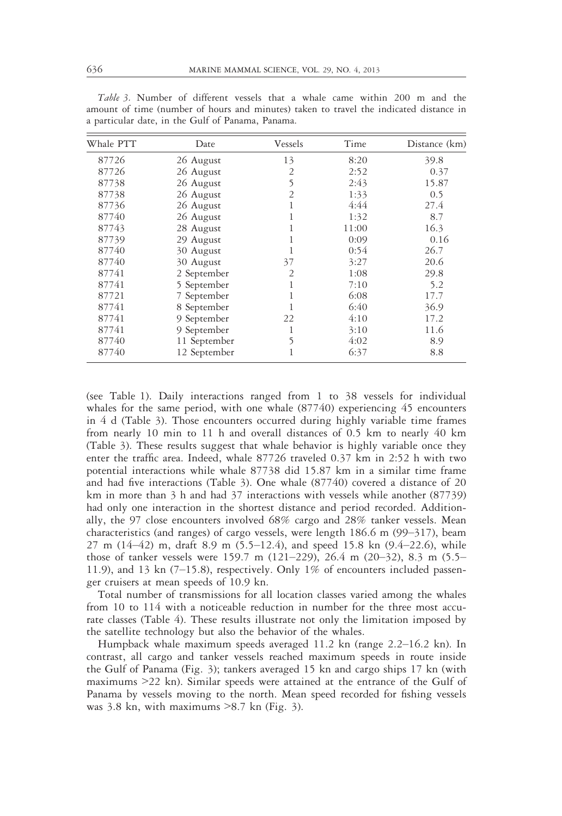| Whale PTT | Date         | Vessels        | Time  | Distance (km) |
|-----------|--------------|----------------|-------|---------------|
| 87726     | 26 August    | 13             | 8:20  | 39.8          |
| 87726     | 26 August    | 2              | 2:52  | 0.37          |
| 87738     | 26 August    | 5              | 2:43  | 15.87         |
| 87738     | 26 August    | 2              | 1:33  | 0.5           |
| 87736     | 26 August    | 1              | 4:44  | 27.4          |
| 87740     | 26 August    | 1              | 1:32  | 8.7           |
| 87743     | 28 August    |                | 11:00 | 16.3          |
| 87739     | 29 August    | 1              | 0:09  | 0.16          |
| 87740     | 30 August    |                | 0:54  | 26.7          |
| 87740     | 30 August    | 37             | 3:27  | 20.6          |
| 87741     | 2 September  | $\overline{2}$ | 1:08  | 29.8          |
| 87741     | 5 September  |                | 7:10  | 5.2           |
| 87721     | 7 September  |                | 6:08  | 17.7          |
| 87741     | 8 September  |                | 6:40  | 36.9          |
| 87741     | 9 September  | 22             | 4:10  | 17.2          |
| 87741     | 9 September  | 1              | 3:10  | 11.6          |
| 87740     | 11 September | 5              | 4:02  | 8.9           |
| 87740     | 12 September | 1              | 6:37  | 8.8           |

Table 3. Number of different vessels that a whale came within 200 m and the amount of time (number of hours and minutes) taken to travel the indicated distance in a particular date, in the Gulf of Panama, Panama.

(see Table 1). Daily interactions ranged from 1 to 38 vessels for individual whales for the same period, with one whale  $(87740)$  experiencing 45 encounters in 4 d (Table 3). Those encounters occurred during highly variable time frames from nearly 10 min to 11 h and overall distances of 0.5 km to nearly 40 km (Table 3). These results suggest that whale behavior is highly variable once they enter the traffic area. Indeed, whale 87726 traveled 0.37 km in 2:52 h with two potential interactions while whale 87738 did 15.87 km in a similar time frame and had five interactions (Table 3). One whale (87740) covered a distance of 20 km in more than 3 h and had 37 interactions with vessels while another (87739) had only one interaction in the shortest distance and period recorded. Additionally, the 97 close encounters involved 68% cargo and 28% tanker vessels. Mean characteristics (and ranges) of cargo vessels, were length 186.6 m (99–317), beam 27 m (14–42) m, draft 8.9 m (5.5–12.4), and speed 15.8 kn (9.4–22.6), while those of tanker vessels were 159.7 m (121–229), 26.4 m (20–32), 8.3 m (5.5– 11.9), and 13 kn (7–15.8), respectively. Only 1% of encounters included passenger cruisers at mean speeds of 10.9 kn.

Total number of transmissions for all location classes varied among the whales from 10 to 114 with a noticeable reduction in number for the three most accurate classes (Table 4). These results illustrate not only the limitation imposed by the satellite technology but also the behavior of the whales.

Humpback whale maximum speeds averaged 11.2 kn (range 2.2–16.2 kn). In contrast, all cargo and tanker vessels reached maximum speeds in route inside the Gulf of Panama (Fig. 3); tankers averaged 15 kn and cargo ships 17 kn (with maximums >22 kn). Similar speeds were attained at the entrance of the Gulf of Panama by vessels moving to the north. Mean speed recorded for fishing vessels was  $3.8$  kn, with maximums  $>8.7$  kn (Fig. 3).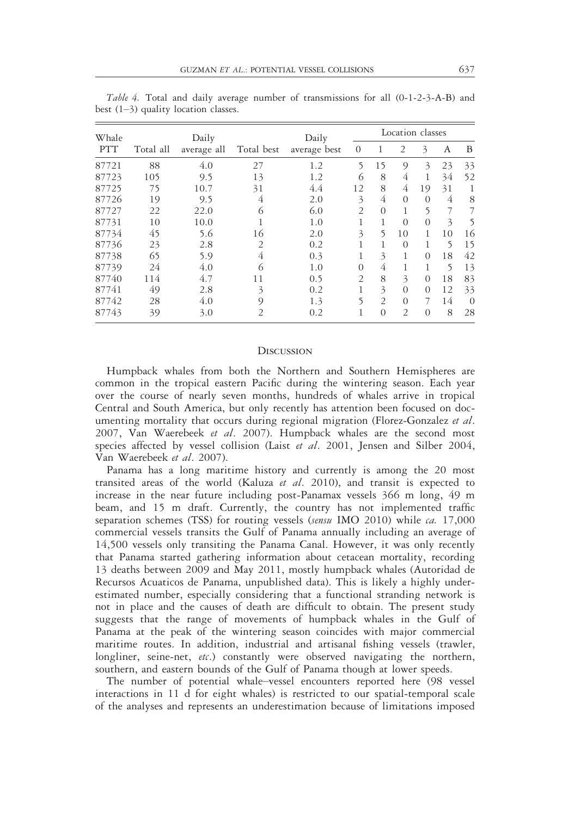| Whale      | Daily     |             |            | Daily        | Location classes |                |                |          |    |          |
|------------|-----------|-------------|------------|--------------|------------------|----------------|----------------|----------|----|----------|
| <b>PTT</b> | Total all | average all | Total best | average best | $\Omega$         |                | 2              | 3        | A  | B        |
| 87721      | 88        | 4.0         | 27         | 1.2          | 5                | 15             | $\circ$        | 3        | 23 | 33       |
| 87723      | 105       | 9.5         | 13         | 1.2          | 6                | 8              | 4              |          | 34 | 52       |
| 87725      | 75        | 10.7        | 31         | 4.4          | 12               | 8              | 4              | 19       | 31 | 1        |
| 87726      | 19        | 9.5         | 4          | 2.0          | 3                | 4              | $\Omega$       | $\Omega$ | 4  | 8        |
| 87727      | 22        | 22.0        | 6          | 6.0          | 2                | $\theta$       |                | 5        | 7  |          |
| 87731      | 10        | 10.0        |            | 1.0          | 1                |                | $\Omega$       | $\Omega$ | 3  | 5        |
| 87734      | 45        | 5.6         | 16         | 2.0          | 3                | 5              | 10             |          | 10 | 16       |
| 87736      | 23        | 2.8         | 2          | 0.2          | 1                |                | $\Omega$       |          | 5  | 15       |
| 87738      | 65        | 5.9         | 4          | 0.3          | 1                | 3              |                | $\Omega$ | 18 | 42       |
| 87739      | 24        | 4.0         | 6          | 1.0          | $\Omega$         | 4              |                |          | 5  | 13       |
| 87740      | 114       | 4.7         | 11         | 0.5          | 2                | 8              | 3              | $\Omega$ | 18 | 83       |
| 87741      | 49        | 2.8         | 3          | 0.2          | 1                | 3              | $\Omega$       | $\Omega$ | 12 | 33       |
| 87742      | 28        | 4.0         | 9          | 1.3          | 5                | $\overline{2}$ | $\Omega$       |          | 14 | $\Omega$ |
| 87743      | 39        | 3.0         | 2          | 0.2          | 1                | $\theta$       | $\overline{2}$ | $\Omega$ | 8  | 28       |

Table 4. Total and daily average number of transmissions for all (0-1-2-3-A-B) and best (1–3) quality location classes.

#### **DISCUSSION**

Humpback whales from both the Northern and Southern Hemispheres are common in the tropical eastern Pacific during the wintering season. Each year over the course of nearly seven months, hundreds of whales arrive in tropical Central and South America, but only recently has attention been focused on documenting mortality that occurs during regional migration (Florez-Gonzalez et al. 2007, Van Waerebeek et al. 2007). Humpback whales are the second most species affected by vessel collision (Laist et al. 2001, Jensen and Silber 2004, Van Waerebeek et al. 2007).

Panama has a long maritime history and currently is among the 20 most transited areas of the world (Kaluza et al. 2010), and transit is expected to increase in the near future including post-Panamax vessels 366 m long, 49 m beam, and 15 m draft. Currently, the country has not implemented traffic separation schemes (TSS) for routing vessels (sensu IMO 2010) while ca. 17,000 commercial vessels transits the Gulf of Panama annually including an average of 14,500 vessels only transiting the Panama Canal. However, it was only recently that Panama started gathering information about cetacean mortality, recording 13 deaths between 2009 and May 2011, mostly humpback whales (Autoridad de Recursos Acuaticos de Panama, unpublished data). This is likely a highly underestimated number, especially considering that a functional stranding network is not in place and the causes of death are difficult to obtain. The present study suggests that the range of movements of humpback whales in the Gulf of Panama at the peak of the wintering season coincides with major commercial maritime routes. In addition, industrial and artisanal fishing vessels (trawler, longliner, seine-net, etc.) constantly were observed navigating the northern, southern, and eastern bounds of the Gulf of Panama though at lower speeds.

The number of potential whale–vessel encounters reported here (98 vessel interactions in 11 d for eight whales) is restricted to our spatial-temporal scale of the analyses and represents an underestimation because of limitations imposed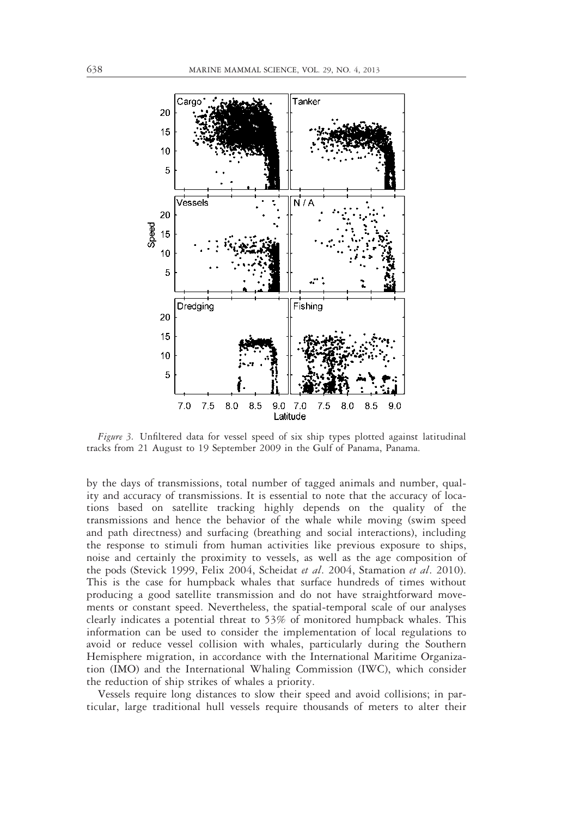

Figure 3. Unfiltered data for vessel speed of six ship types plotted against latitudinal tracks from 21 August to 19 September 2009 in the Gulf of Panama, Panama.

by the days of transmissions, total number of tagged animals and number, quality and accuracy of transmissions. It is essential to note that the accuracy of locations based on satellite tracking highly depends on the quality of the transmissions and hence the behavior of the whale while moving (swim speed and path directness) and surfacing (breathing and social interactions), including the response to stimuli from human activities like previous exposure to ships, noise and certainly the proximity to vessels, as well as the age composition of the pods (Stevick 1999, Felix 2004, Scheidat et al. 2004, Stamation et al. 2010). This is the case for humpback whales that surface hundreds of times without producing a good satellite transmission and do not have straightforward movements or constant speed. Nevertheless, the spatial-temporal scale of our analyses clearly indicates a potential threat to 53% of monitored humpback whales. This information can be used to consider the implementation of local regulations to avoid or reduce vessel collision with whales, particularly during the Southern Hemisphere migration, in accordance with the International Maritime Organization (IMO) and the International Whaling Commission (IWC), which consider the reduction of ship strikes of whales a priority.

Vessels require long distances to slow their speed and avoid collisions; in particular, large traditional hull vessels require thousands of meters to alter their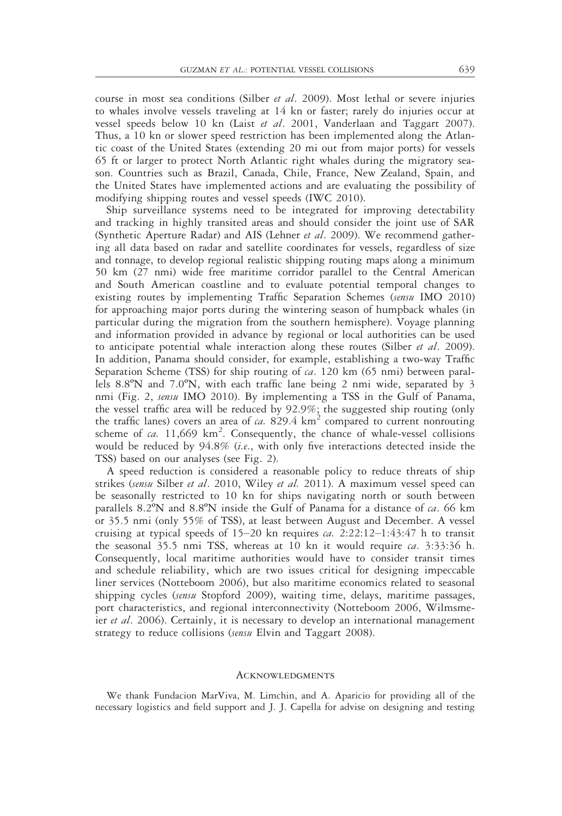course in most sea conditions (Silber et al. 2009). Most lethal or severe injuries to whales involve vessels traveling at 14 kn or faster; rarely do injuries occur at vessel speeds below 10 kn (Laist et al. 2001, Vanderlaan and Taggart 2007). Thus, a 10 kn or slower speed restriction has been implemented along the Atlantic coast of the United States (extending 20 mi out from major ports) for vessels 65 ft or larger to protect North Atlantic right whales during the migratory season. Countries such as Brazil, Canada, Chile, France, New Zealand, Spain, and the United States have implemented actions and are evaluating the possibility of modifying shipping routes and vessel speeds (IWC 2010).

Ship surveillance systems need to be integrated for improving detectability and tracking in highly transited areas and should consider the joint use of SAR (Synthetic Aperture Radar) and AIS (Lehner et al. 2009). We recommend gathering all data based on radar and satellite coordinates for vessels, regardless of size and tonnage, to develop regional realistic shipping routing maps along a minimum 50 km (27 nmi) wide free maritime corridor parallel to the Central American and South American coastline and to evaluate potential temporal changes to existing routes by implementing Traffic Separation Schemes (sensu IMO 2010) for approaching major ports during the wintering season of humpback whales (in particular during the migration from the southern hemisphere). Voyage planning and information provided in advance by regional or local authorities can be used to anticipate potential whale interaction along these routes (Silber *et al.* 2009). In addition, Panama should consider, for example, establishing a two-way Traffic Separation Scheme (TSS) for ship routing of  $ca$ . 120 km (65 nmi) between parallels 8.8ºN and 7.0ºN, with each traffic lane being 2 nmi wide, separated by 3 nmi (Fig. 2, sensu IMO 2010). By implementing a TSS in the Gulf of Panama, the vessel traffic area will be reduced by 92.9%; the suggested ship routing (only the traffic lanes) covers an area of  $ca. 829.4 \text{ km}^2$  compared to current nonrouting scheme of  $ca$ . 11,669 km<sup>2</sup>. Consequently, the chance of whale-vessel collisions would be reduced by 94.8% (i.e., with only five interactions detected inside the TSS) based on our analyses (see Fig. 2).

A speed reduction is considered a reasonable policy to reduce threats of ship strikes (sensu Silber et al. 2010, Wiley et al. 2011). A maximum vessel speed can be seasonally restricted to 10 kn for ships navigating north or south between parallels 8.2 $\mathrm{°N}$  and 8.8 $\mathrm{°N}$  inside the Gulf of Panama for a distance of *ca*. 66 km or 35.5 nmi (only 55% of TSS), at least between August and December. A vessel cruising at typical speeds of  $15-20$  kn requires *ca.*  $2:22:12-1:43:47$  h to transit the seasonal 35.5 nmi TSS, whereas at 10 kn it would require  $ca$ . 3:33:36 h. Consequently, local maritime authorities would have to consider transit times and schedule reliability, which are two issues critical for designing impeccable liner services (Notteboom 2006), but also maritime economics related to seasonal shipping cycles (sensu Stopford 2009), waiting time, delays, maritime passages, port characteristics, and regional interconnectivity (Notteboom 2006, Wilmsmeier et al. 2006). Certainly, it is necessary to develop an international management strategy to reduce collisions (sensu Elvin and Taggart 2008).

# **ACKNOWLEDGMENTS**

We thank Fundacion MarViva, M. Limchin, and A. Aparicio for providing all of the necessary logistics and field support and J. J. Capella for advise on designing and testing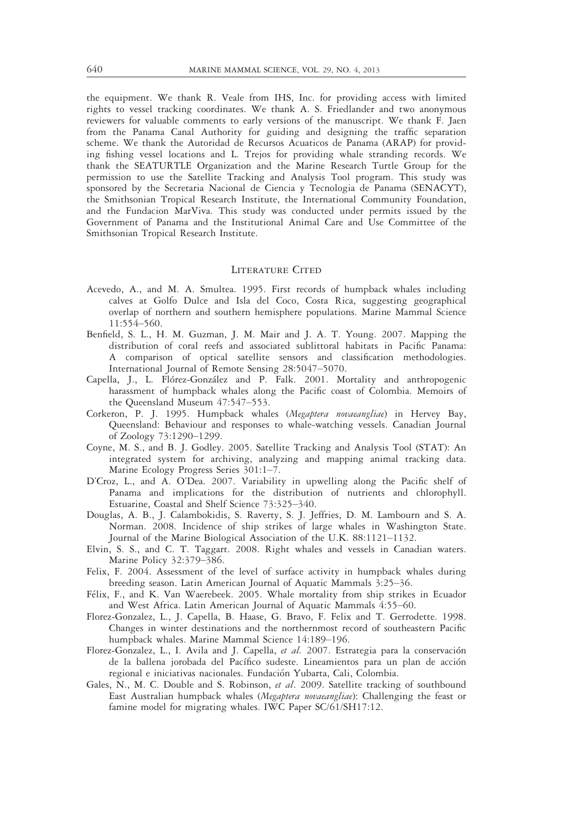the equipment. We thank R. Veale from IHS, Inc. for providing access with limited rights to vessel tracking coordinates. We thank A. S. Friedlander and two anonymous reviewers for valuable comments to early versions of the manuscript. We thank F. Jaen from the Panama Canal Authority for guiding and designing the traffic separation scheme. We thank the Autoridad de Recursos Acuaticos de Panama (ARAP) for providing fishing vessel locations and L. Trejos for providing whale stranding records. We thank the SEATURTLE Organization and the Marine Research Turtle Group for the permission to use the Satellite Tracking and Analysis Tool program. This study was sponsored by the Secretaria Nacional de Ciencia y Tecnologia de Panama (SENACYT), the Smithsonian Tropical Research Institute, the International Community Foundation, and the Fundacion MarViva. This study was conducted under permits issued by the Government of Panama and the Institutional Animal Care and Use Committee of the Smithsonian Tropical Research Institute.

# LITERATURE CITED

- Acevedo, A., and M. A. Smultea. 1995. First records of humpback whales including calves at Golfo Dulce and Isla del Coco, Costa Rica, suggesting geographical overlap of northern and southern hemisphere populations. Marine Mammal Science 11:554–560.
- Benfield, S. L., H. M. Guzman, J. M. Mair and J. A. T. Young. 2007. Mapping the distribution of coral reefs and associated sublittoral habitats in Pacific Panama: A comparison of optical satellite sensors and classification methodologies. International Journal of Remote Sensing 28:5047–5070.
- Capella, J., L. Flórez-González and P. Falk. 2001. Mortality and anthropogenic harassment of humpback whales along the Pacific coast of Colombia. Memoirs of the Queensland Museum 47:547–553.
- Corkeron, P. J. 1995. Humpback whales (Megaptera novaeangliae) in Hervey Bay, Queensland: Behaviour and responses to whale-watching vessels. Canadian Journal of Zoology 73:1290–1299.
- Coyne, M. S., and B. J. Godley. 2005. Satellite Tracking and Analysis Tool (STAT): An integrated system for archiving, analyzing and mapping animal tracking data. Marine Ecology Progress Series 301:1–7.
- D'Croz, L., and A. O'Dea. 2007. Variability in upwelling along the Pacific shelf of Panama and implications for the distribution of nutrients and chlorophyll. Estuarine, Coastal and Shelf Science 73:325–340.
- Douglas, A. B., J. Calambokidis, S. Raverty, S. J. Jeffries, D. M. Lambourn and S. A. Norman. 2008. Incidence of ship strikes of large whales in Washington State. Journal of the Marine Biological Association of the U.K. 88:1121–1132.
- Elvin, S. S., and C. T. Taggart. 2008. Right whales and vessels in Canadian waters. Marine Policy 32:379–386.
- Felix, F. 2004. Assessment of the level of surface activity in humpback whales during breeding season. Latin American Journal of Aquatic Mammals 3:25–36.
- Félix, F., and K. Van Waerebeek. 2005. Whale mortality from ship strikes in Ecuador and West Africa. Latin American Journal of Aquatic Mammals 4:55–60.
- Florez-Gonzalez, L., J. Capella, B. Haase, G. Bravo, F. Felix and T. Gerrodette. 1998. Changes in winter destinations and the northernmost record of southeastern Pacific humpback whales. Marine Mammal Science 14:189–196.
- Florez-Gonzalez, L., I. Avila and J. Capella, et al. 2007. Estrategia para la conservación de la ballena jorobada del Pacífico sudeste. Lineamientos para un plan de acción regional e iniciativas nacionales. Fundación Yubarta, Cali, Colombia.
- Gales, N., M. C. Double and S. Robinson, et al. 2009. Satellite tracking of southbound East Australian humpback whales (Megaptera novaeangliae): Challenging the feast or famine model for migrating whales. IWC Paper SC/61/SH17:12.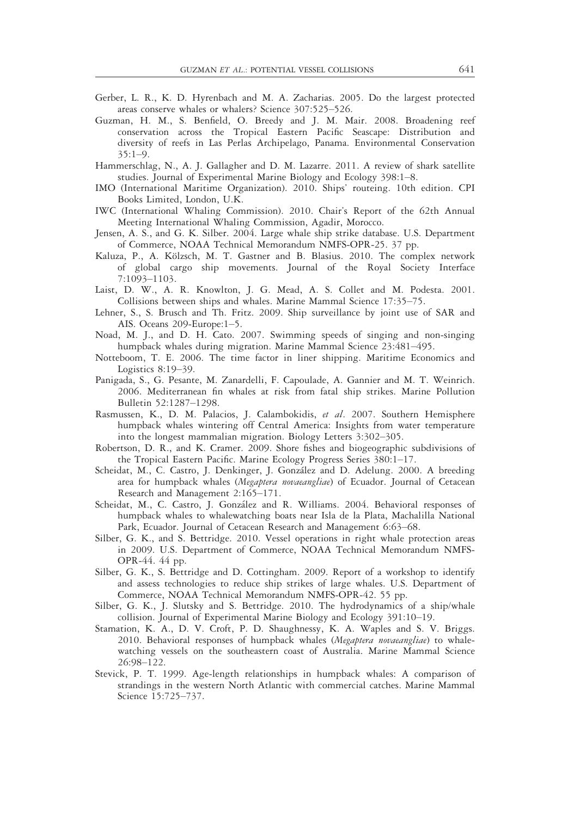- Gerber, L. R., K. D. Hyrenbach and M. A. Zacharias. 2005. Do the largest protected areas conserve whales or whalers? Science 307:525–526.
- Guzman, H. M., S. Benfield, O. Breedy and J. M. Mair. 2008. Broadening reef conservation across the Tropical Eastern Pacific Seascape: Distribution and diversity of reefs in Las Perlas Archipelago, Panama. Environmental Conservation 35:1–9.
- Hammerschlag, N., A. J. Gallagher and D. M. Lazarre. 2011. A review of shark satellite studies. Journal of Experimental Marine Biology and Ecology 398:1–8.
- IMO (International Maritime Organization). 2010. Ships' routeing. 10th edition. CPI Books Limited, London, U.K.
- IWC (International Whaling Commission). 2010. Chair's Report of the 62th Annual Meeting International Whaling Commission, Agadir, Morocco.
- Jensen, A. S., and G. K. Silber. 2004. Large whale ship strike database. U.S. Department of Commerce, NOAA Technical Memorandum NMFS-OPR-25. 37 pp.
- Kaluza, P., A. Kölzsch, M. T. Gastner and B. Blasius. 2010. The complex network of global cargo ship movements. Journal of the Royal Society Interface 7:1093–1103.
- Laist, D. W., A. R. Knowlton, J. G. Mead, A. S. Collet and M. Podesta. 2001. Collisions between ships and whales. Marine Mammal Science 17:35–75.
- Lehner, S., S. Brusch and Th. Fritz. 2009. Ship surveillance by joint use of SAR and AIS. Oceans 209-Europe:1–5.
- Noad, M. J., and D. H. Cato. 2007. Swimming speeds of singing and non-singing humpback whales during migration. Marine Mammal Science 23:481–495.
- Notteboom, T. E. 2006. The time factor in liner shipping. Maritime Economics and Logistics 8:19–39.
- Panigada, S., G. Pesante, M. Zanardelli, F. Capoulade, A. Gannier and M. T. Weinrich. 2006. Mediterranean fin whales at risk from fatal ship strikes. Marine Pollution Bulletin 52:1287–1298.
- Rasmussen, K., D. M. Palacios, J. Calambokidis, et al. 2007. Southern Hemisphere humpback whales wintering off Central America: Insights from water temperature into the longest mammalian migration. Biology Letters 3:302–305.
- Robertson, D. R., and K. Cramer. 2009. Shore fishes and biogeographic subdivisions of the Tropical Eastern Pacific. Marine Ecology Progress Series 380:1–17.
- Scheidat, M., C. Castro, J. Denkinger, J. González and D. Adelung. 2000. A breeding area for humpback whales (Megaptera novaeangliae) of Ecuador. Journal of Cetacean Research and Management 2:165–171.
- Scheidat, M., C. Castro, J. González and R. Williams. 2004. Behavioral responses of humpback whales to whalewatching boats near Isla de la Plata, Machalilla National Park, Ecuador. Journal of Cetacean Research and Management 6:63–68.
- Silber, G. K., and S. Bettridge. 2010. Vessel operations in right whale protection areas in 2009. U.S. Department of Commerce, NOAA Technical Memorandum NMFS-OPR-44. 44 pp.
- Silber, G. K., S. Bettridge and D. Cottingham. 2009. Report of a workshop to identify and assess technologies to reduce ship strikes of large whales. U.S. Department of Commerce, NOAA Technical Memorandum NMFS-OPR-42. 55 pp.
- Silber, G. K., J. Slutsky and S. Bettridge. 2010. The hydrodynamics of a ship/whale collision. Journal of Experimental Marine Biology and Ecology 391:10–19.
- Stamation, K. A., D. V. Croft, P. D. Shaughnessy, K. A. Waples and S. V. Briggs. 2010. Behavioral responses of humpback whales (Megaptera novaeangliae) to whalewatching vessels on the southeastern coast of Australia. Marine Mammal Science 26:98–122.
- Stevick, P. T. 1999. Age-length relationships in humpback whales: A comparison of strandings in the western North Atlantic with commercial catches. Marine Mammal Science 15:725–737.